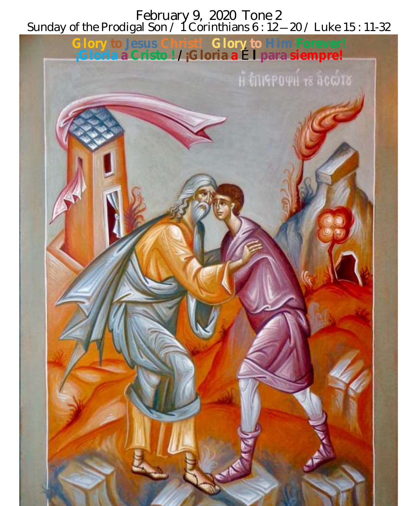February 9, 2020 Tone 2 Sunday of the Prodigal Son / 1 Corinthians 6 : 12—20 / Luke 15 : 11-32

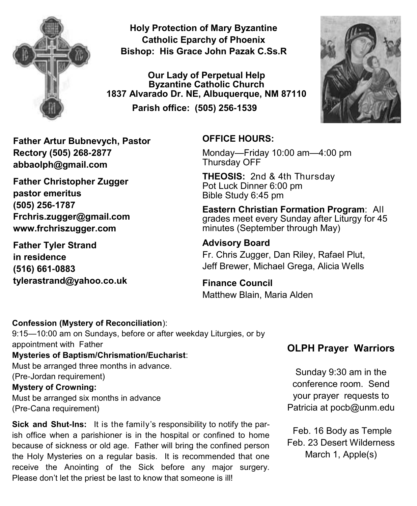

**Holy Protection of Mary Byzantine Catholic Eparchy of Phoenix Bishop: His Grace John Pazak C.Ss.R**

**Our Lady of Perpetual Help Byzantine Catholic Church 1837 Alvarado Dr. NE, Albuquerque, NM 87110 Parish office: (505) 256-1539**



**Father Artur Bubnevych, Pastor Rectory (505) 268-2877 abbaolph@gmail.com** 

**Father Christopher Zugger pastor emeritus (505) 256-1787 Frchris.zugger@gmail.com www.frchriszugger.com** 

**Father Tyler Strand in residence (516) 661-0883 tylerastrand@yahoo.co.uk**

#### **OFFICE HOURS:**

Monday—Friday 10:00 am—4:00 pm Thursday OFF

**THEOSIS:** 2nd & 4th Thursday Pot Luck Dinner 6:00 pm Bible Study 6:45 pm

**Eastern Christian Formation Program**: All grades meet every Sunday after Liturgy for 45 minutes (September through May)

#### **Advisory Board**

Fr. Chris Zugger, Dan Riley, Rafael Plut, Jeff Brewer, Michael Grega, Alicia Wells

#### **Finance Council**  Matthew Blain, Maria Alden

#### **Confession (Mystery of Reconciliation**):

9:15—10:00 am on Sundays, before or after weekday Liturgies, or by appointment with Father **Mysteries of Baptism/Chrismation/Eucharist**:

Must be arranged three months in advance. (Pre-Jordan requirement) **Mystery of Crowning:** 

Must be arranged six months in advance (Pre-Cana requirement)

**Sick and Shut-Ins:** It is the family's responsibility to notify the parish office when a parishioner is in the hospital or confined to home because of sickness or old age. Father will bring the confined person the Holy Mysteries on a regular basis. It is recommended that one receive the Anointing of the Sick before any major surgery. Please don't let the priest be last to know that someone is ill!

### **OLPH Prayer Warriors**

Sunday 9:30 am in the conference room. Send your prayer requests to Patricia at pocb@unm.edu

Feb. 16 Body as Temple Feb. 23 Desert Wilderness March 1, Apple(s)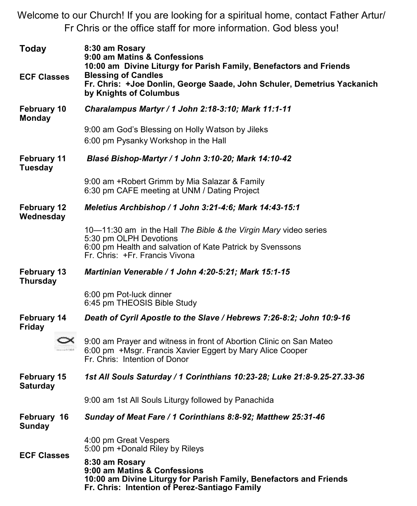Welcome to our Church! If you are looking for a spiritual home, contact Father Artur/ Fr Chris or the office staff for more information. God bless you!

| <b>Today</b>                          | 8:30 am Rosary<br>9:00 am Matins & Confessions<br>10:00 am Divine Liturgy for Parish Family, Benefactors and Friends                                                                      |  |
|---------------------------------------|-------------------------------------------------------------------------------------------------------------------------------------------------------------------------------------------|--|
| <b>ECF Classes</b>                    | <b>Blessing of Candles</b><br>Fr. Chris: +Joe Donlin, George Saade, John Schuler, Demetrius Yackanich<br>by Knights of Columbus                                                           |  |
| February 10<br>Monday                 | Charalampus Martyr / 1 John 2:18-3:10; Mark 11:1-11                                                                                                                                       |  |
|                                       | 9:00 am God's Blessing on Holly Watson by Jileks<br>6:00 pm Pysanky Workshop in the Hall                                                                                                  |  |
| February 11<br>Tuesday                | Blasé Bishop-Martyr / 1 John 3:10-20; Mark 14:10-42                                                                                                                                       |  |
|                                       | 9:00 am +Robert Grimm by Mia Salazar & Family<br>6:30 pm CAFE meeting at UNM / Dating Project                                                                                             |  |
| <b>February 12</b><br>Wednesday       | Meletius Archbishop / 1 John 3:21-4:6; Mark 14:43-15:1                                                                                                                                    |  |
|                                       | 10-11:30 am in the Hall The Bible & the Virgin Mary video series<br>5:30 pm OLPH Devotions<br>6:00 pm Health and salvation of Kate Patrick by Svenssons<br>Fr. Chris: +Fr. Francis Vivona |  |
| February 13<br><b>Thursday</b>        | Martinian Venerable / 1 John 4:20-5:21; Mark 15:1-15                                                                                                                                      |  |
|                                       | 6:00 pm Pot-luck dinner<br>6:45 pm THEOSIS Bible Study                                                                                                                                    |  |
| <b>February 14</b><br><b>Friday</b>   | Death of Cyril Apostle to the Slave / Hebrews 7:26-8:2; John 10:9-16                                                                                                                      |  |
|                                       | 9:00 am Prayer and witness in front of Abortion Clinic on San Mateo<br>6:00 pm +Msgr. Francis Xavier Eggert by Mary Alice Cooper<br>Fr. Chris: Intention of Donor                         |  |
| <b>February 15</b><br><b>Saturday</b> | 1st All Souls Saturday / 1 Corinthians 10:23-28; Luke 21:8-9.25-27.33-36                                                                                                                  |  |
|                                       | 9:00 am 1st All Souls Liturgy followed by Panachida                                                                                                                                       |  |
| February 16<br><b>Sunday</b>          | Sunday of Meat Fare / 1 Corinthians 8:8-92; Matthew 25:31-46                                                                                                                              |  |
| <b>ECF Classes</b>                    | 4:00 pm Great Vespers<br>5:00 pm +Donald Riley by Rileys                                                                                                                                  |  |
|                                       | 8:30 am Rosary<br>9:00 am Matins & Confessions<br>10:00 am Divine Liturgy for Parish Family, Benefactors and Friends<br>Fr. Chris: Intention of Perez-Santiago Family                     |  |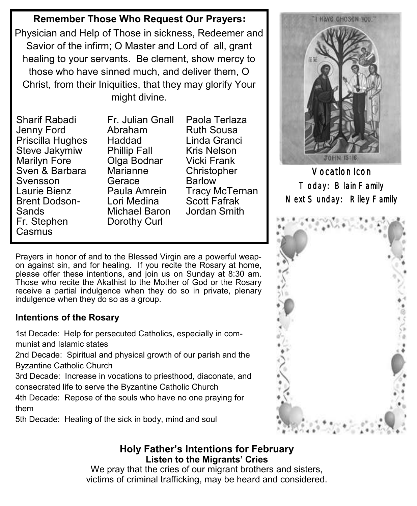#### **Remember Those Who Request Our Prayers:**

Physician and Help of Those in sickness, Redeemer and Savior of the infirm; O Master and Lord of all, grant healing to your servants. Be clement, show mercy to those who have sinned much, and deliver them, O Christ, from their Iniquities, that they may glorify Your might divine.

Sharif Rabadi Jenny Ford Priscilla Hughes Steve Jakymiw Marilyn Fore Sven & Barbara Svensson Laurie Bienz Brent Dodson-Sands Fr. Stephen **Casmus** 

Fr. Julian Gnall Abraham Haddad Phillip Fall Olga Bodnar Marianne Gerace Paula Amrein Lori Medina Michael Baron Dorothy Curl

Paola Terlaza Ruth Sousa Linda Granci Kris Nelson Vicki Frank **Christopher** Barlow Tracy McTernan Scott Fafrak Jordan Smith

Prayers in honor of and to the Blessed Virgin are a powerful weapon against sin, and for healing. If you recite the Rosary at home, please offer these intentions, and join us on Sunday at 8:30 am. Those who recite the Akathist to the Mother of God or the Rosary receive a partial indulgence when they do so in private, plenary indulgence when they do so as a group.

#### **Intentions of the Rosary**

1st Decade: Help for persecuted Catholics, especially in communist and Islamic states

2nd Decade: Spiritual and physical growth of our parish and the Byzantine Catholic Church

3rd Decade: Increase in vocations to priesthood, diaconate, and consecrated life to serve the Byzantine Catholic Church

4th Decade: Repose of the souls who have no one praying for them

5th Decade: Healing of the sick in body, mind and soul

# HAVE CHOSEN YOU. **TOHN IS:16**

Vocation Icon Today: Blain Family Next Sunday: Riley Family



#### **Holy Father's Intentions for February Listen to the Migrants' Cries**

We pray that the cries of our migrant brothers and sisters, victims of criminal trafficking, may be heard and considered.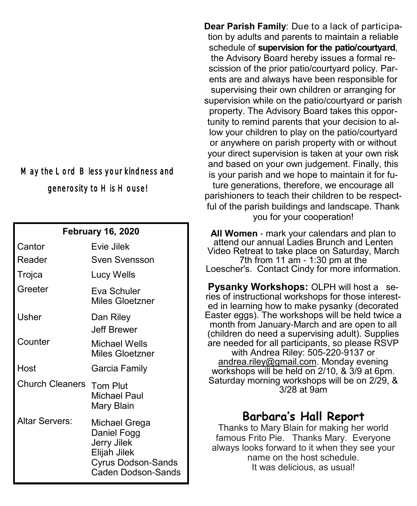## May the Lord Bless your kindness and generosity to His House!

#### **February 16, 2020**

| Cantor                 | Evie Jilek                                                                                              |
|------------------------|---------------------------------------------------------------------------------------------------------|
| Reader                 | Sven Svensson                                                                                           |
| Trojca                 | Lucy Wells                                                                                              |
| Greeter                | Fva Schuler<br>Miles Gloetzner                                                                          |
| Usher                  | Dan Riley<br>Jeff Brewer                                                                                |
| Counter                | Michael Wells<br>Miles Gloetzner                                                                        |
| Host                   | Garcia Family                                                                                           |
| <b>Church Cleaners</b> | Tom Plut<br>Michael Paul<br>Mary Blain                                                                  |
| Altar Servers:         | Michael Grega<br>Daniel Fogg<br>Jerry Jilek<br>Elijah Jilek<br>Cyrus Dodson-Sands<br>Caden Dodson-Sands |

**Dear Parish Family**: Due to a lack of participation by adults and parents to maintain a reliable schedule of **supervision for the patio/courtyard**, the Advisory Board hereby issues a formal rescission of the prior patio/courtyard policy. Parents are and always have been responsible for supervising their own children or arranging for supervision while on the patio/courtyard or parish property. The Advisory Board takes this opportunity to remind parents that your decision to allow your children to play on the patio/courtyard or anywhere on parish property with or without your direct supervision is taken at your own risk and based on your own judgement. Finally, this is your parish and we hope to maintain it for future generations, therefore, we encourage all parishioners to teach their children to be respectful of the parish buildings and landscape. Thank you for your cooperation!

**All Women** - mark your calendars and plan to attend our annual Ladies Brunch and Lenten Video Retreat to take place on Saturday, March 7th from 11 am - 1:30 pm at the Loescher's. Contact Cindy for more information.

**Pysanky Workshops:** OLPH will host a series of instructional workshops for those interested in learning how to make pysanky (decorated Easter eggs). The workshops will be held twice a month from January-March and are open to all (children do need a supervising adult). Supplies are needed for all participants, so please RSVP with Andrea Riley: 505-220-9137 or [andrea.riley@gmail.com.](mailto:andrea.riley@gmail.com) Monday evening workshops will be held on 2/10, & 3/9 at 6pm. Saturday morning workshops will be on 2/29, & 3/28 at 9am

## **Barbara's Hall Report**

Thanks to Mary Blain for making her world famous Frito Pie. Thanks Mary. Everyone always looks forward to it when they see your name on the host schedule. It was delicious, as usual!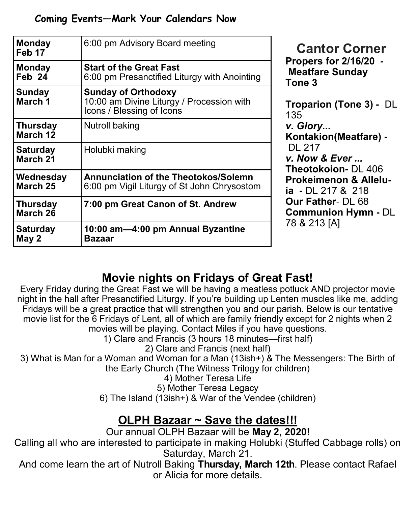| <b>Monday</b><br>Feb 17     | 6:00 pm Advisory Board meeting                                                                       |  |
|-----------------------------|------------------------------------------------------------------------------------------------------|--|
| <b>Monday</b><br>Feb 24     | <b>Start of the Great Fast</b><br>6:00 pm Presanctified Liturgy with Anointing                       |  |
| Sunday<br>March 1           | <b>Sunday of Orthodoxy</b><br>10:00 am Divine Liturgy / Procession with<br>Icons / Blessing of Icons |  |
| <b>Thursday</b><br>March 12 | Nutroll baking                                                                                       |  |
| <b>Saturday</b><br>March 21 | Holubki making                                                                                       |  |
| Wednesday<br>March 25       | <b>Annunciation of the Theotokos/Solemn</b><br>6:00 pm Vigil Liturgy of St John Chrysostom           |  |
| <b>Thursday</b><br>March 26 | 7:00 pm Great Canon of St. Andrew                                                                    |  |
| <b>Saturday</b><br>May 2    | 10:00 am-4:00 pm Annual Byzantine<br>Bazaar                                                          |  |

**Cantor Corner Propers for 2/16/20 - Meatfare Sunday Tone 3**

**Troparion (Tone 3) -** DL 35.  $Glory...$ **Kontakion(Meatfare) -** DL 217 *Now & Ever ...* **Theotokoion-** DL 406 **Prokeimenon & Alleluia -** DL 217 & 218 **Our Father**- DL 68 **Communion Hymn -** DL 78 & 213 [A]

## **Movie nights on Fridays of Great Fast!**

Every Friday during the Great Fast we will be having a meatless potluck AND projector movie night in the hall after Presanctified Liturgy. If you're building up Lenten muscles like me, adding Fridays will be a great practice that will strengthen you and our parish. Below is our tentative movie list for the 6 Fridays of Lent, all of which are family friendly except for 2 nights when 2 movies will be playing. Contact Miles if you have questions.

1) Clare and Francis (3 hours 18 minutes—first half)

2) Clare and Francis (next half)

3) What is Man for a Woman and Woman for a Man (13ish+) & The Messengers: The Birth of the Early Church (The Witness Trilogy for children)

4) Mother Teresa Life

5) Mother Teresa Legacy

6) The Island (13ish+) & War of the Vendee (children)

# **OLPH Bazaar ~ Save the dates!!!**

Our annual OLPH Bazaar will be **May 2, 2020!**

Calling all who are interested to participate in making Holubki (Stuffed Cabbage rolls) on Saturday, March 21.

And come learn the art of Nutroll Baking **Thursday, March 12th**. Please contact Rafael or Alicia for more details.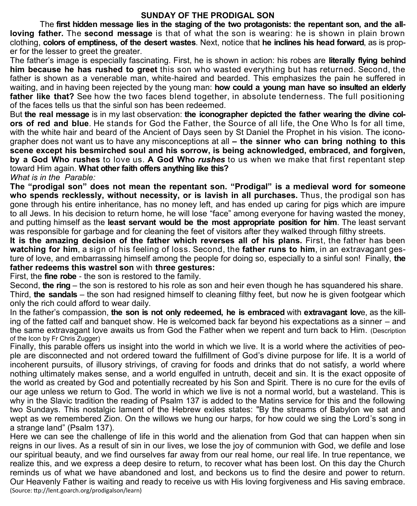#### **SUNDAY OF THE PRODIGAL SON**

The **first hidden message lies in the staging of the two protagonists: the repentant son, and the allloving father.** The **second message** is that of what the son is wearing: he is shown in plain brown clothing, **colors of emptiness, of the desert wastes**. Next, notice that **he inclines his head forward**, as is proper for the lesser to greet the greater.

The father's image is especially fascinating. First, he is shown in action: his robes are **literally flying behind him because he has rushed to greet** this son who wasted everything but has returned. Second, the father is shown as a venerable man, white-haired and bearded. This emphasizes the pain he suffered in waiting, and in having been rejected by the young man: **how could a young man have so insulted an elderly father like that?** See how the two faces blend together, in absolute tenderness. The full positioning of the faces tells us that the sinful son has been redeemed.

But **the real message** is in my last observation: **the iconographer depicted the father wearing the divine colors of red and blue**. He stands for God the Father, the Source of all life, the One Who Is for all time, with the white hair and beard of the Ancient of Days seen by St Daniel the Prophet in his vision. The iconographer does not want us to have any misconceptions at all **– the sinner who can bring nothing to this scene except his besmirched soul and his sorrow, is being acknowledged, embraced, and forgiven, by a God Who rushes** to love us. **A God Who** *rushes* to us when we make that first repentant step toward Him again. **What other faith offers anything like this?**

*What is in the Parable:* 

**The "prodigal son" does not mean the repentant son. "Prodigal" is a medieval word for someone who spends recklessly, without necessity, or is lavish in all purchases.** Thus, the prodigal son has gone through his entire inheritance, has no money left, and has ended up caring for pigs which are impure to all Jews. In his decision to return home, he will lose "face" among everyone for having wasted the money, and putting himself as the **least servant would be the most appropriate position for him**. The least servant was responsible for garbage and for cleaning the feet of visitors after they walked through filthy streets.

**It is the amazing decision of the father which reverses all of his plans.** First, the father has been **watching for him**, a sign of his feeling of loss. Second, the **father runs to him**, in an extravagant gesture of love, and embarrassing himself among the people for doing so, especially to a sinful son! Finally, **the father redeems this wastrel son** with **three gestures:**

First, the **fine robe** - the son is restored to the family.

Second, **the ring** – the son is restored to his role as son and heir even though he has squandered his share. Third, **the sandals** – the son had resigned himself to cleaning filthy feet, but now he is given footgear which only the rich could afford to wear daily.

In the father's compassion, **the son is not only redeemed, he is embraced** with **extravagant lov**e, as the killing of the fatted calf and banquet show. He is welcomed back far beyond his expectations as a sinner – and the same extravagant love awaits us from God the Father when we repent and turn back to Him. (Description of the Icon by Fr Chris Zugger)

Finally, this parable offers us insight into the world in which we live. It is a world where the activities of people are disconnected and not ordered toward the fulfillment of God's divine purpose for life. It is a world of incoherent pursuits, of illusory strivings, of craving for foods and drinks that do not satisfy, a world where nothing ultimately makes sense, and a world engulfed in untruth, deceit and sin. It is the exact opposite of the world as created by God and potentially recreated by his Son and Spirit. There is no cure for the evils of our age unless we return to God. The world in which we live is not a normal world, but a wasteland. This is why in the Slavic tradition the reading of Psalm 137 is added to the Matins service for this and the following two Sundays. This nostalgic lament of the Hebrew exiles states: "By the streams of Babylon we sat and wept as we remembered Zion. On the willows we hung our harps, for how could we sing the Lord's song in a strange land" (Psalm 137).

Here we can see the challenge of life in this world and the alienation from God that can happen when sin reigns in our lives. As a result of sin in our lives, we lose the joy of communion with God, we defile and lose our spiritual beauty, and we find ourselves far away from our real home, our real life. In true repentance, we realize this, and we express a deep desire to return, to recover what has been lost. On this day the Church reminds us of what we have abandoned and lost, and beckons us to find the desire and power to return. Our Heavenly Father is waiting and ready to receive us with His loving forgiveness and His saving embrace. (Source: ttp://lent.goarch.org/prodigalson/learn)